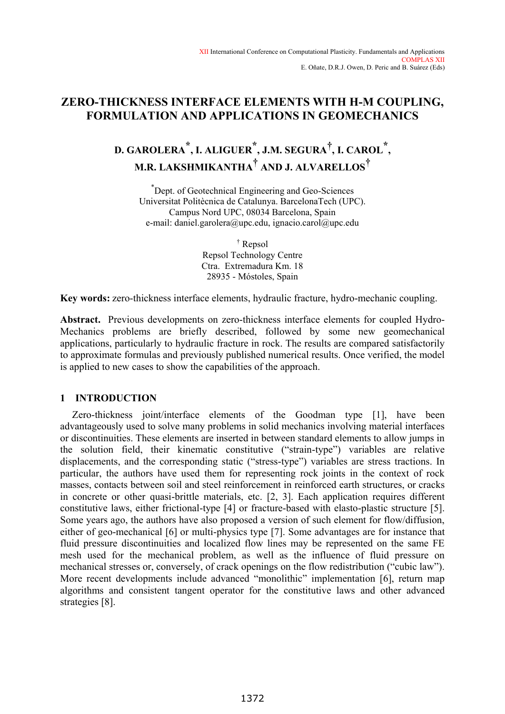# **ZERO-THICKNESS INTERFACE ELEMENTS WITH H-M COUPLING, FORMULATION AND APPLICATIONS IN GEOMECHANICS**

# **D. GAROLERA \*, I. ALIGUER \*, J.M. SEGURA† , I. CAROL \*, M.R. LAKSHMIKANTHA† AND J. ALVARELLOS†**

\* Dept. of Geotechnical Engineering and Geo-Sciences Universitat Politècnica de Catalunya. BarcelonaTech (UPC). Campus Nord UPC, 08034 Barcelona, Spain e-mail: daniel.garolera@upc.edu, ignacio.carol@upc.edu

> † Repsol Repsol Technology Centre Ctra. Extremadura Km. 18 28935 - Móstoles, Spain

**Key words:** zero-thickness interface elements, hydraulic fracture, hydro-mechanic coupling.

**Abstract.** Previous developments on zero-thickness interface elements for coupled Hydro-Mechanics problems are briefly described, followed by some new geomechanical applications, particularly to hydraulic fracture in rock. The results are compared satisfactorily to approximate formulas and previously published numerical results. Once verified, the model is applied to new cases to show the capabilities of the approach.

# **1 INTRODUCTION**

Zero-thickness joint/interface elements of the Goodman type [1], have been advantageously used to solve many problems in solid mechanics involving material interfaces or discontinuities. These elements are inserted in between standard elements to allow jumps in the solution field, their kinematic constitutive ("strain-type") variables are relative displacements, and the corresponding static ("stress-type") variables are stress tractions. In particular, the authors have used them for representing rock joints in the context of rock masses, contacts between soil and steel reinforcement in reinforced earth structures, or cracks in concrete or other quasi-brittle materials, etc. [2, 3]. Each application requires different constitutive laws, either frictional-type [4] or fracture-based with elasto-plastic structure [5]. Some years ago, the authors have also proposed a version of such element for flow/diffusion, either of geo-mechanical [6] or multi-physics type [7]. Some advantages are for instance that fluid pressure discontinuities and localized flow lines may be represented on the same FE mesh used for the mechanical problem, as well as the influence of fluid pressure on mechanical stresses or, conversely, of crack openings on the flow redistribution ("cubic law"). More recent developments include advanced "monolithic" implementation [6], return map algorithms and consistent tangent operator for the constitutive laws and other advanced strategies [8].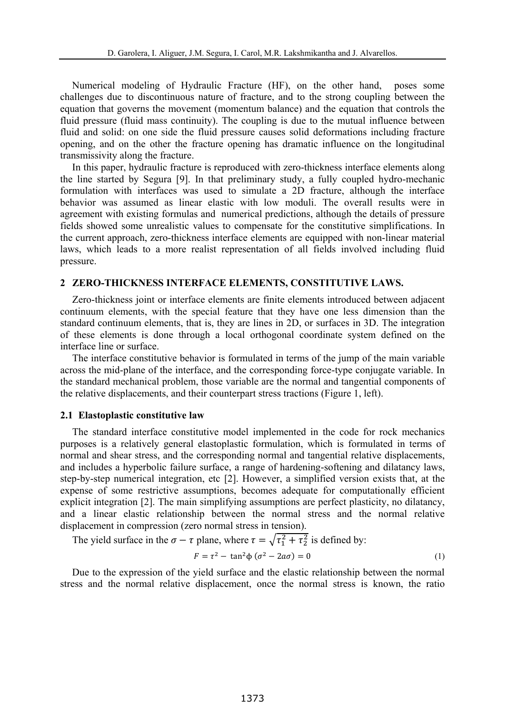Numerical modeling of Hydraulic Fracture (HF), on the other hand, poses some challenges due to discontinuous nature of fracture, and to the strong coupling between the equation that governs the movement (momentum balance) and the equation that controls the fluid pressure (fluid mass continuity). The coupling is due to the mutual influence between fluid and solid: on one side the fluid pressure causes solid deformations including fracture opening, and on the other the fracture opening has dramatic influence on the longitudinal transmissivity along the fracture.

In this paper, hydraulic fracture is reproduced with zero-thickness interface elements along the line started by Segura [9]. In that preliminary study, a fully coupled hydro-mechanic formulation with interfaces was used to simulate a 2D fracture, although the interface behavior was assumed as linear elastic with low moduli. The overall results were in agreement with existing formulas and numerical predictions, although the details of pressure fields showed some unrealistic values to compensate for the constitutive simplifications. In the current approach, zero-thickness interface elements are equipped with non-linear material laws, which leads to a more realist representation of all fields involved including fluid pressure.

# **2 ZERO-THICKNESS INTERFACE ELEMENTS, CONSTITUTIVE LAWS.**

Zero-thickness joint or interface elements are finite elements introduced between adjacent continuum elements, with the special feature that they have one less dimension than the standard continuum elements, that is, they are lines in 2D, or surfaces in 3D. The integration of these elements is done through a local orthogonal coordinate system defined on the interface line or surface.

The interface constitutive behavior is formulated in terms of the jump of the main variable across the mid-plane of the interface, and the corresponding force-type conjugate variable. In the standard mechanical problem, those variable are the normal and tangential components of the relative displacements, and their counterpart stress tractions (Figure 1, left).

### **2.1 Elastoplastic constitutive law**

The standard interface constitutive model implemented in the code for rock mechanics purposes is a relatively general elastoplastic formulation, which is formulated in terms of normal and shear stress, and the corresponding normal and tangential relative displacements, and includes a hyperbolic failure surface, a range of hardening-softening and dilatancy laws, step-by-step numerical integration, etc [2]. However, a simplified version exists that, at the expense of some restrictive assumptions, becomes adequate for computationally efficient explicit integration [2]. The main simplifying assumptions are perfect plasticity, no dilatancy, and a linear elastic relationship between the normal stress and the normal relative displacement in compression (zero normal stress in tension).

The yield surface in the  $\sigma - \tau$  plane, where  $\tau = \sqrt{\tau_1^2 + \tau_2^2}$  is defined by:

$$
F = \tau^2 - \tan^2 \phi \left( \sigma^2 - 2a\sigma \right) = 0 \tag{1}
$$

Due to the expression of the yield surface and the elastic relationship between the normal stress and the normal relative displacement, once the normal stress is known, the ratio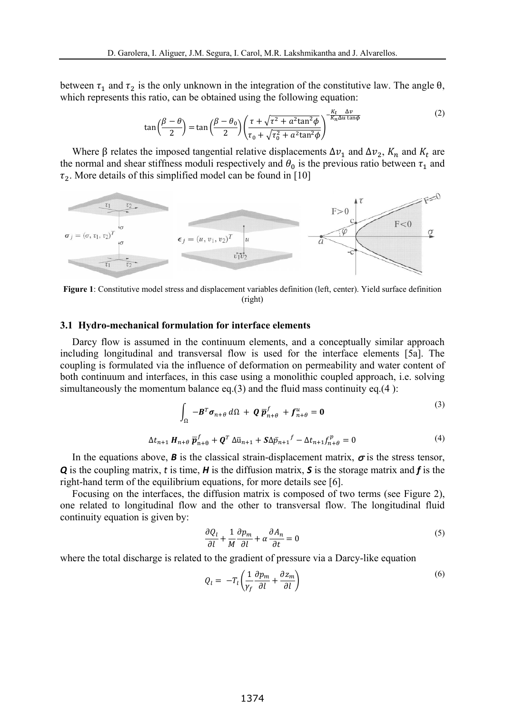between  $\tau_1$  and  $\tau_2$  is the only unknown in the integration of the constitutive law. The angle  $\theta$ , which represents this ratio, can be obtained using the following equation:

$$
\tan\left(\frac{\beta-\theta}{2}\right) = \tan\left(\frac{\beta-\theta_0}{2}\right) \left(\frac{\tau + \sqrt{\tau^2 + a^2 \tan^2 \phi}}{\tau_0 + \sqrt{\tau_0^2 + a^2 \tan^2 \phi}}\right)^{-\frac{K_t - \Delta v}{K_n \Delta u \tan \phi}}\tag{2}
$$

Where  $\beta$  relates the imposed tangential relative displacements  $\Delta v_1$  and  $\Delta v_2$ ,  $K_n$  and  $K_t$  are the normal and shear stiffness moduli respectively and  $\theta_0$  is the previous ratio between  $\tau_1$  and  $\tau_2$ . More details of this simplified model can be found in [10]



**Figure 1**: Constitutive model stress and displacement variables definition (left, center). Yield surface definition (right)

#### **3.1 Hydro-mechanical formulation for interface elements**

Darcy flow is assumed in the continuum elements, and a conceptually similar approach including longitudinal and transversal flow is used for the interface elements [5a]. The coupling is formulated via the influence of deformation on permeability and water content of both continuum and interfaces, in this case using a monolithic coupled approach, i.e. solving simultaneously the momentum balance  $eq.(3)$  and the fluid mass continuity  $eq.(4)$ :

$$
\int_{\Omega} -\mathbf{B}^T \boldsymbol{\sigma}_{n+\theta} d\Omega + \mathbf{Q} \overline{\mathbf{p}}_{n+\theta}^f + \mathbf{f}_{n+\theta}^u = \mathbf{0}
$$
\n
$$
\Delta t_{n+1} \mathbf{H}_{n+\theta} \overline{\mathbf{p}}_{n+\theta}^f + \mathbf{Q}^T \Delta \overline{u}_{n+1} + \mathbf{S} \Delta \overline{p}_{n+1}^f - \Delta t_{n+1} \mathbf{f}_{n+\theta}^p = 0
$$
\n(4)

In the equations above, **B** is the classical strain-displacement matrix, 
$$
\sigma
$$
 is the stress tensor, **Q** is the coupling matrix, *t* is time, **H** is the diffusion matrix, **S** is the storage matrix and **f** is the right-hand term of the equilibrium equations, for more details see [6].

Focusing on the interfaces, the diffusion matrix is composed of two terms (see Figure 2), one related to longitudinal flow and the other to transversal flow. The longitudinal fluid continuity equation is given by:

$$
\frac{\partial Q_l}{\partial l} + \frac{1}{M} \frac{\partial p_m}{\partial l} + \alpha \frac{\partial A_n}{\partial t} = 0
$$
\n<sup>(5)</sup>

where the total discharge is related to the gradient of pressure via a Darcy-like equation

$$
Q_l = -T_l \left( \frac{1}{\gamma_f} \frac{\partial p_m}{\partial l} + \frac{\partial z_m}{\partial l} \right) \tag{6}
$$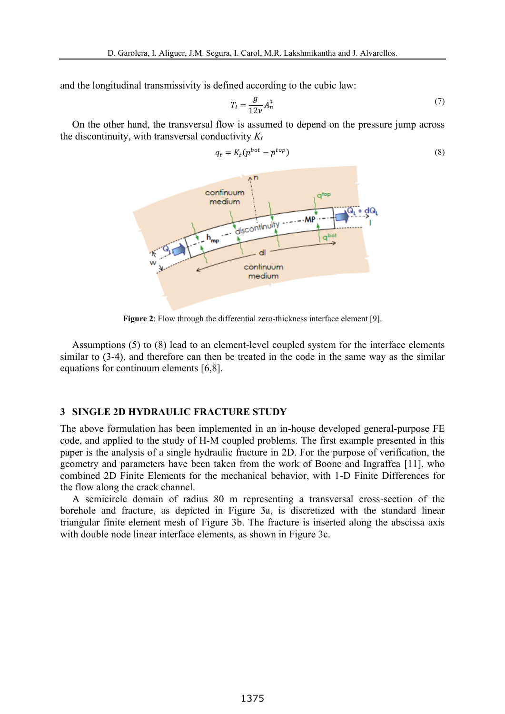and the longitudinal transmissivity is defined according to the cubic law:

$$
T_l = \frac{g}{12\nu} A_n^3 \tag{7}
$$

On the other hand, the transversal flow is assumed to depend on the pressure jump across the discontinuity, with transversal conductivity  $K_t$ 



 $q_t = K_t (p^{bot} - p^{top})$  (8)

**Figure 2**: Flow through the differential zero-thickness interface element [9].

Assumptions (5) to (8) lead to an element-level coupled system for the interface elements similar to (3-4), and therefore can then be treated in the code in the same way as the similar equations for continuum elements [6,8].

### **3 SINGLE 2D HYDRAULIC FRACTURE STUDY**

The above formulation has been implemented in an in-house developed general-purpose FE code, and applied to the study of H-M coupled problems. The first example presented in this paper is the analysis of a single hydraulic fracture in 2D. For the purpose of verification, the geometry and parameters have been taken from the work of Boone and Ingraffea [11], who combined 2D Finite Elements for the mechanical behavior, with 1-D Finite Differences for the flow along the crack channel.

A semicircle domain of radius 80 m representing a transversal cross-section of the borehole and fracture, as depicted in Figure 3a, is discretized with the standard linear triangular finite element mesh of Figure 3b. The fracture is inserted along the abscissa axis with double node linear interface elements, as shown in Figure 3c.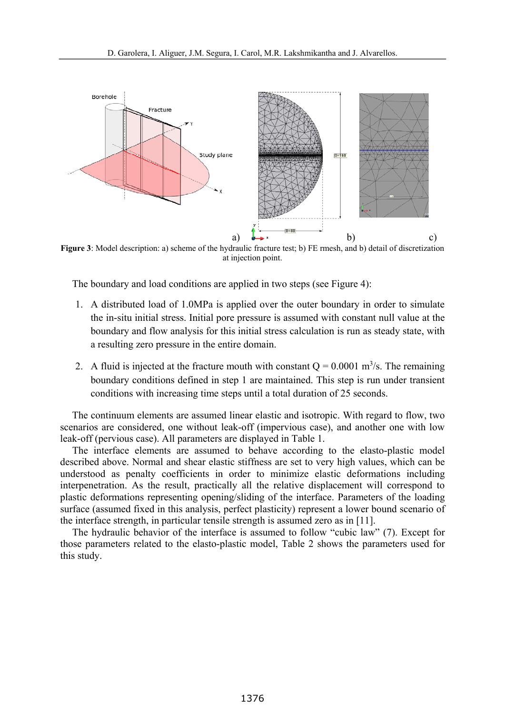

**Figure 3**: Model description: a) scheme of the hydraulic fracture test; b) FE rmesh, and b) detail of discretization at injection point.

The boundary and load conditions are applied in two steps (see Figure 4):

- 1. A distributed load of 1.0MPa is applied over the outer boundary in order to simulate the in-situ initial stress. Initial pore pressure is assumed with constant null value at the boundary and flow analysis for this initial stress calculation is run as steady state, with a resulting zero pressure in the entire domain.
- 2. A fluid is injected at the fracture mouth with constant  $Q = 0.0001$  m<sup>3</sup>/s. The remaining boundary conditions defined in step 1 are maintained. This step is run under transient conditions with increasing time steps until a total duration of 25 seconds.

The continuum elements are assumed linear elastic and isotropic. With regard to flow, two scenarios are considered, one without leak-off (impervious case), and another one with low leak-off (pervious case). All parameters are displayed in Table 1.

The interface elements are assumed to behave according to the elasto-plastic model described above. Normal and shear elastic stiffness are set to very high values, which can be understood as penalty coefficients in order to minimize elastic deformations including interpenetration. As the result, practically all the relative displacement will correspond to plastic deformations representing opening/sliding of the interface. Parameters of the loading surface (assumed fixed in this analysis, perfect plasticity) represent a lower bound scenario of the interface strength, in particular tensile strength is assumed zero as in [11].

The hydraulic behavior of the interface is assumed to follow "cubic law" (7). Except for those parameters related to the elasto-plastic model, Table 2 shows the parameters used for this study.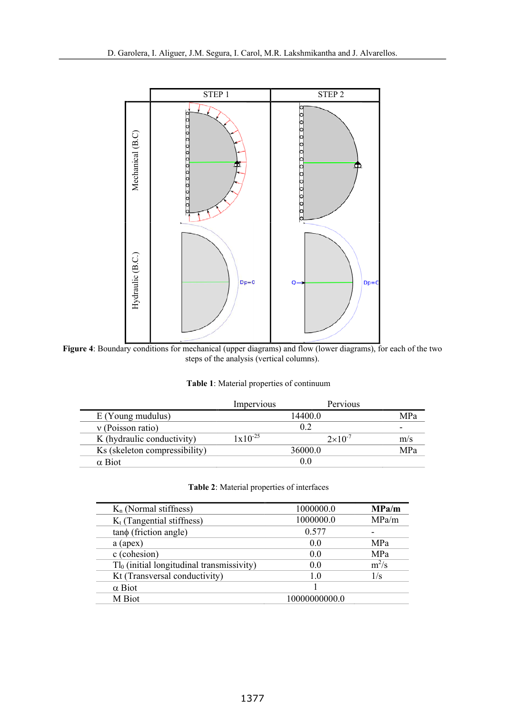

**Figure 4**: Boundary conditions for mechanical (upper diagrams) and flow (lower diagrams), for each of the two steps of the analysis (vertical columns).

| Table 1: Material properties of continuum |  |
|-------------------------------------------|--|
|-------------------------------------------|--|

|                               | Impervious          | Pervious           |                          |
|-------------------------------|---------------------|--------------------|--------------------------|
| $E$ (Young mudulus)           |                     | 14400.0            | MPa                      |
| $v$ (Poisson ratio)           |                     | 0.2                | $\overline{\phantom{0}}$ |
| K (hydraulic conductivity)    | $1 \times 10^{-25}$ | $2 \times 10^{-7}$ | m/s                      |
| Ks (skeleton compressibility) |                     | 36000.0            | MPa                      |
| $\alpha$ Biot                 |                     | 0.0                |                          |

# **Table 2**: Material properties of interfaces

| $K_n$ (Normal stiffness)                     | 1000000.0      | MPa/m      |
|----------------------------------------------|----------------|------------|
| $K_t$ (Tangential stiffness)                 | 1000000.0      | MPa/m      |
| $tan\phi$ (friction angle)                   | 0.577          |            |
| a (apex)                                     | 0.0            | <b>MPa</b> |
| c (cohesion)                                 | 00             | MPa        |
| $Tl_0$ (initial longitudinal transmissivity) | 0.0            | $m^2/s$    |
| Kt (Transversal conductivity)                | 1 <sub>0</sub> | 1/s        |
| $\alpha$ Biot                                |                |            |
| M Biot                                       | 10000000000.0  |            |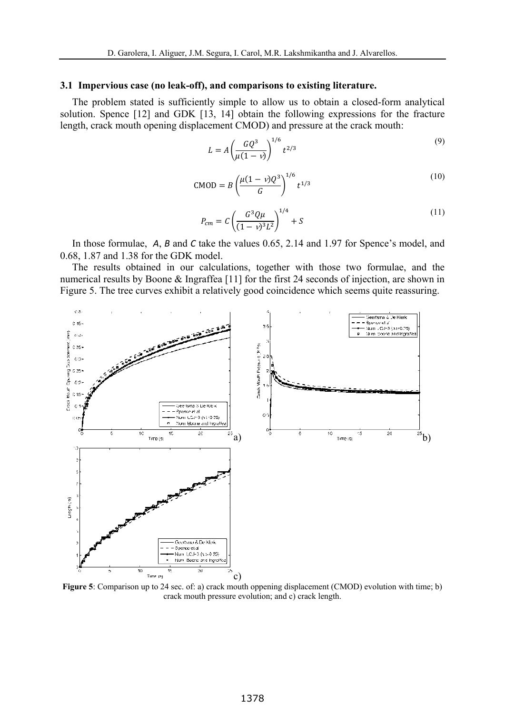#### **3.1 Impervious case (no leak-off), and comparisons to existing literature.**

The problem stated is sufficiently simple to allow us to obtain a closed-form analytical solution. Spence [12] and GDK [13, 14] obtain the following expressions for the fracture length, crack mouth opening displacement CMOD) and pressure at the crack mouth:

$$
L = A \left( \frac{GQ^3}{\mu(1-\nu)} \right)^{1/6} t^{2/3} \tag{9}
$$

$$
CMOD = B \left( \frac{\mu (1 - v) Q^3}{G} \right)^{1/6} t^{1/3}
$$
 (10)

$$
P_{cm} = C \left( \frac{G^3 Q \mu}{(1 - v)^3 L^2} \right)^{1/4} + S \tag{11}
$$

In those formulae, *A*, *B* and *C* take the values 0.65, 2.14 and 1.97 for Spence's model, and 0.68, 1.87 and 1.38 for the GDK model.

The results obtained in our calculations, together with those two formulae, and the numerical results by Boone & Ingraffea [11] for the first 24 seconds of injection, are shown in Figure 5. The tree curves exhibit a relatively good coincidence which seems quite reassuring.



**Figure 5**: Comparison up to 24 sec. of: a) crack mouth oppening displacement (CMOD) evolution with time; b) crack mouth pressure evolution; and c) crack length.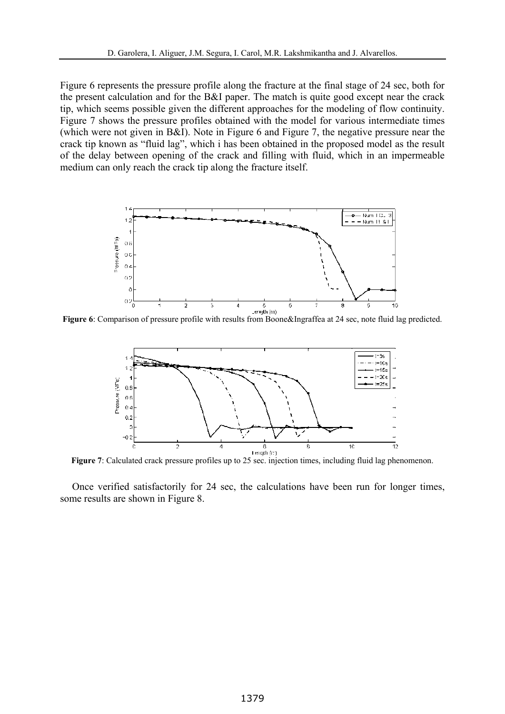Figure 6 represents the pressure profile along the fracture at the final stage of 24 sec, both for the present calculation and for the B&I paper. The match is quite good except near the crack tip, which seems possible given the different approaches for the modeling of flow continuity. Figure 7 shows the pressure profiles obtained with the model for various intermediate times (which were not given in B&I). Note in Figure 6 and Figure 7, the negative pressure near the crack tip known as "fluid lag", which i has been obtained in the proposed model as the result of the delay between opening of the crack and filling with fluid, which in an impermeable medium can only reach the crack tip along the fracture itself.



**Figure 6**: Comparison of pressure profile with results from Boone&Ingraffea at 24 sec, note fluid lag predicted.



**Figure 7**: Calculated crack pressure profiles up to 25 sec. injection times, including fluid lag phenomenon.

Once verified satisfactorily for 24 sec, the calculations have been run for longer times, some results are shown in Figure 8.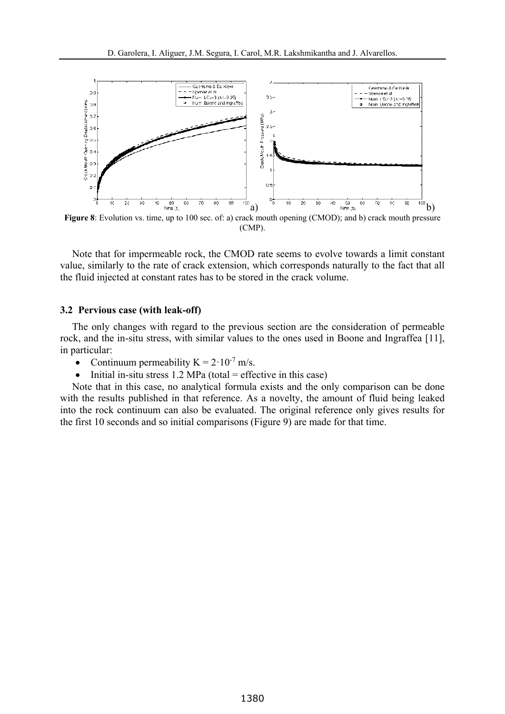

<sup>(</sup>CMP).

Note that for impermeable rock, the CMOD rate seems to evolve towards a limit constant value, similarly to the rate of crack extension, which corresponds naturally to the fact that all the fluid injected at constant rates has to be stored in the crack volume.

#### **3.2 Pervious case (with leak-off)**

The only changes with regard to the previous section are the consideration of permeable rock, and the in-situ stress, with similar values to the ones used in Boone and Ingraffea [11], in particular:

- Continuum permeability  $K = 2 \cdot 10^{-7}$  m/s.
- $\bullet$  Initial in-situ stress 1.2 MPa (total = effective in this case)

Note that in this case, no analytical formula exists and the only comparison can be done with the results published in that reference. As a novelty, the amount of fluid being leaked into the rock continuum can also be evaluated. The original reference only gives results for the first 10 seconds and so initial comparisons (Figure 9) are made for that time.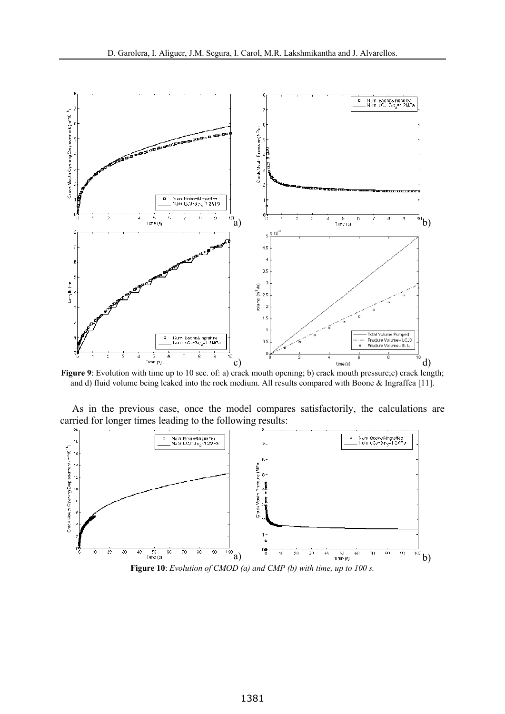

**Figure 9**: Evolution with time up to 10 sec. of: a) crack mouth opening; b) crack mouth pressure;c) crack length; and d) fluid volume being leaked into the rock medium. All results compared with Boone & Ingraffea [11].

As in the previous case, once the model compares satisfactorily, the calculations are carried for longer times leading to the following results:



**Figure 10**: *Evolution of CMOD (a) and CMP (b) with time, up to 100 s.*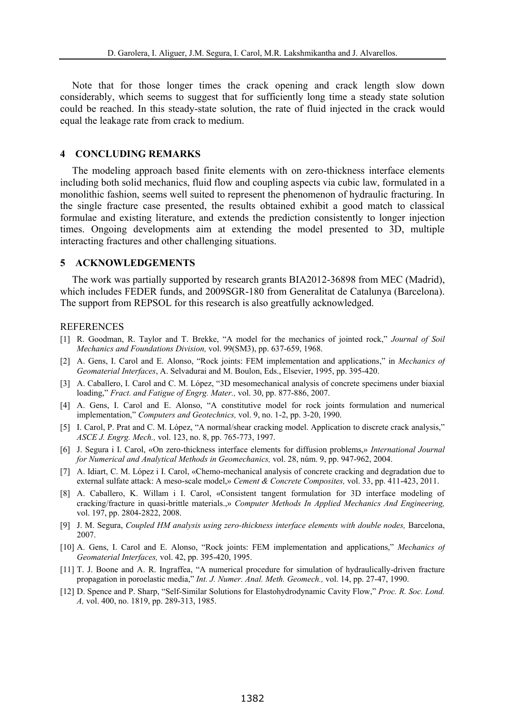Note that for those longer times the crack opening and crack length slow down considerably, which seems to suggest that for sufficiently long time a steady state solution could be reached. In this steady-state solution, the rate of fluid injected in the crack would equal the leakage rate from crack to medium.

## **4 CONCLUDING REMARKS**

The modeling approach based finite elements with on zero-thickness interface elements including both solid mechanics, fluid flow and coupling aspects via cubic law, formulated in a monolithic fashion, seems well suited to represent the phenomenon of hydraulic fracturing. In the single fracture case presented, the results obtained exhibit a good match to classical formulae and existing literature, and extends the prediction consistently to longer injection times. Ongoing developments aim at extending the model presented to 3D, multiple interacting fractures and other challenging situations.

#### **5 ACKNOWLEDGEMENTS**

The work was partially supported by research grants BIA2012-36898 from MEC (Madrid), which includes FEDER funds, and 2009SGR-180 from Generalitat de Catalunya (Barcelona). The support from REPSOL for this research is also greatfully acknowledged.

#### **REFERENCES**

- [1] R. Goodman, R. Taylor and T. Brekke, "A model for the mechanics of jointed rock," *Journal of Soil Mechanics and Foundations Division,* vol. 99(SM3), pp. 637-659, 1968.
- [2] A. Gens, I. Carol and E. Alonso, "Rock joints: FEM implementation and applications," in *Mechanics of Geomaterial Interfaces*, A. Selvadurai and M. Boulon, Eds., Elsevier, 1995, pp. 395-420.
- [3] A. Caballero, I. Carol and C. M. López, "3D mesomechanical analysis of concrete specimens under biaxial loading," *Fract. and Fatigue of Engrg. Mater.,* vol. 30, pp. 877-886, 2007.
- [4] A. Gens, I. Carol and E. Alonso, "A constitutive model for rock joints formulation and numerical implementation," *Computers and Geotechnics,* vol. 9, no. 1-2, pp. 3-20, 1990.
- [5] I. Carol, P. Prat and C. M. López, "A normal/shear cracking model. Application to discrete crack analysis," *ASCE J. Engrg. Mech.,* vol. 123, no. 8, pp. 765-773, 1997.
- [6] J. Segura i I. Carol, «On zero-thickness interface elements for diffusion problems,» *International Journal for Numerical and Analytical Methods in Geomechanics,* vol. 28, núm. 9, pp. 947-962, 2004.
- [7] A. Idiart, C. M. López i I. Carol, «Chemo-mechanical analysis of concrete cracking and degradation due to external sulfate attack: A meso-scale model,» *Cement & Concrete Composites,* vol. 33, pp. 411-423, 2011.
- [8] A. Caballero, K. Willam i I. Carol, «Consistent tangent formulation for 3D interface modeling of cracking/fracture in quasi-brittle materials.,» *Computer Methods In Applied Mechanics And Engineering,*  vol. 197, pp. 2804-2822, 2008.
- [9] J. M. Segura, *Coupled HM analysis using zero-thickness interface elements with double nodes*, Barcelona, 2007.
- [10] A. Gens, I. Carol and E. Alonso, "Rock joints: FEM implementation and applications," *Mechanics of Geomaterial Interfaces,* vol. 42, pp. 395-420, 1995.
- [11] T. J. Boone and A. R. Ingraffea, "A numerical procedure for simulation of hydraulically-driven fracture propagation in poroelastic media," *Int. J. Numer. Anal. Meth. Geomech.,* vol. 14, pp. 27-47, 1990.
- [12] D. Spence and P. Sharp, "Self-Similar Solutions for Elastohydrodynamic Cavity Flow," *Proc. R. Soc. Lond. A,* vol. 400, no. 1819, pp. 289-313, 1985.